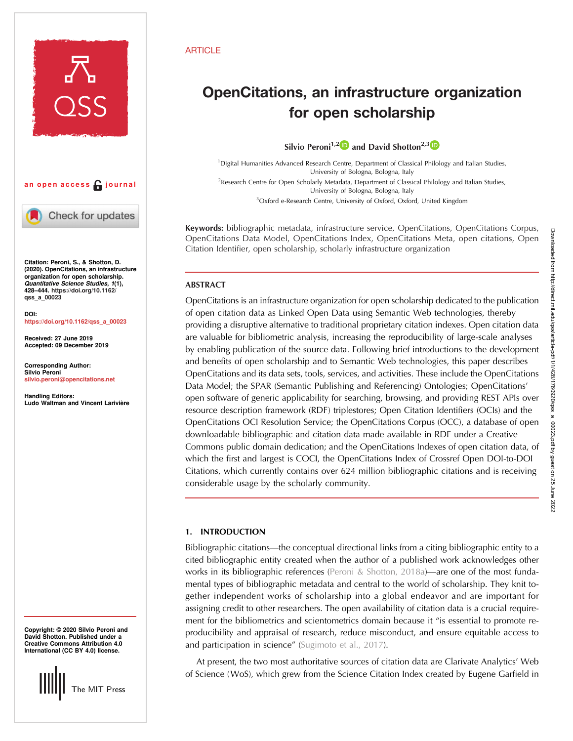

## an open access  $\bigcap$  journal

Check for updates

Citation: Peroni, S., & Shotton, D. (2020). OpenCitations, an infrastructure organization for open scholarship. Quantitative Science Studies, 1(1), 428–444. [https://doi.org/10.1162/](https://w3id.org/oc/ontology) [qss\\_a\\_00023](https://w3id.org/oc/ontology)

DOI: [https://doi.org/10.1162/qss\\_a\\_00023](https://doi.org/10.1162/qss_a_00023)

Received: 27 June 2019 Accepted: 09 December 2019

Corresponding Author: Silvio Peroni [silvio.peroni@opencitations.net](mailto:silvio.peroni@opencitations.net)

Handling Editors: Ludo Waltman and Vincent Larivière

Copyright: © 2020 Silvio Peroni and David Shotton. Published under a Creative Commons Attribution 4.0 International (CC BY 4.0) license.



# **ARTICLE**

# OpenCitations, an infrastructure organization for open scholarship

Silvio Peroni<sup>1,2</sup><sup>(1)</sup> and David Shotton<sup>2,[3](https://orcid.org/0000-0001-5506-523X)</sup><sup>(1)</sup>

<sup>1</sup>Digital Humanities Advanced Research Centre, Department of Classical Philology and Italian Studies, University of Bologna, Bologna, Italy <sup>2</sup> Research Centre for Open Scholarly Metadata, Department of Classical Philology and Italian Studies,

University of Bologna, Bologna, Italy <sup>3</sup>Oxford e-Research Centre, University of Oxford, Oxford, United Kingdom

Keywords: bibliographic metadata, infrastructure service, OpenCitations, OpenCitations Corpus, OpenCitations Data Model, OpenCitations Index, OpenCitations Meta, open citations, Open Citation Identifier, open scholarship, scholarly infrastructure organization

# **ABSTRACT**

OpenCitations is an infrastructure organization for open scholarship dedicated to the publication of open citation data as Linked Open Data using Semantic Web technologies, thereby providing a disruptive alternative to traditional proprietary citation indexes. Open citation data are valuable for bibliometric analysis, increasing the reproducibility of large-scale analyses by enabling publication of the source data. Following brief introductions to the development and benefits of open scholarship and to Semantic Web technologies, this paper describes OpenCitations and its data sets, tools, services, and activities. These include the OpenCitations Data Model; the SPAR (Semantic Publishing and Referencing) Ontologies; OpenCitations' open software of generic applicability for searching, browsing, and providing REST APIs over resource description framework (RDF) triplestores; Open Citation Identifiers (OCIs) and the OpenCitations OCI Resolution Service; the OpenCitations Corpus (OCC), a database of open downloadable bibliographic and citation data made available in RDF under a Creative Commons public domain dedication; and the OpenCitations Indexes of open citation data, of which the first and largest is COCI, the OpenCitations Index of Crossref Open DOI-to-DOI Citations, which currently contains over 624 million bibliographic citations and is receiving considerable usage by the scholarly community.

# 1. INTRODUCTION

Bibliographic citations—the conceptual directional links from a citing bibliographic entity to a cited bibliographic entity created when the author of a published work acknowledges other works in its bibliographic references [\(Peroni & Shotton, 2018a](#page-16-0))—are one of the most fundamental types of bibliographic metadata and central to the world of scholarship. They knit together independent works of scholarship into a global endeavor and are important for assigning credit to other researchers. The open availability of citation data is a crucial requirement for the bibliometrics and scientometrics domain because it "is essential to promote reproducibility and appraisal of research, reduce misconduct, and ensure equitable access to and participation in science" ([Sugimoto et al., 2017\)](#page-16-0).

At present, the two most authoritative sources of citation data are Clarivate Analytics' Web of Science (WoS), which grew from the Science Citation Index created by Eugene Garfield in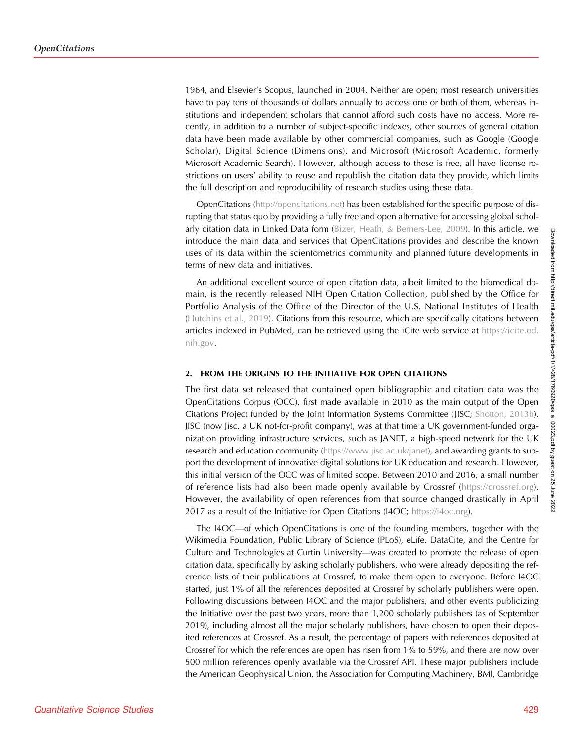1964, and Elsevier's Scopus, launched in 2004. Neither are open; most research universities have to pay tens of thousands of dollars annually to access one or both of them, whereas institutions and independent scholars that cannot afford such costs have no access. More recently, in addition to a number of subject-specific indexes, other sources of general citation data have been made available by other commercial companies, such as Google (Google Scholar), Digital Science (Dimensions), and Microsoft (Microsoft Academic, formerly Microsoft Academic Search). However, although access to these is free, all have license restrictions on users' ability to reuse and republish the citation data they provide, which limits the full description and reproducibility of research studies using these data.

OpenCitations [\(http://opencitations.net\)](http://opencitations.net) has been established for the specific purpose of disrupting that status quo by providing a fully free and open alternative for accessing global scholarly citation data in Linked Data form [\(Bizer, Heath, & Berners-Lee, 2009](#page-15-0)). In this article, we introduce the main data and services that OpenCitations provides and describe the known uses of its data within the scientometrics community and planned future developments in terms of new data and initiatives.

An additional excellent source of open citation data, albeit limited to the biomedical domain, is the recently released NIH Open Citation Collection, published by the Office for Portfolio Analysis of the Office of the Director of the U.S. National Institutes of Health ([Hutchins et al., 2019\)](#page-15-0). Citations from this resource, which are specifically citations between articles indexed in PubMed, can be retrieved using the iCite web service at [https://icite.od.](https://icite.od.nih.gov) [nih.gov.](https://icite.od.nih.gov)

## 2. FROM THE ORIGINS TO THE INITIATIVE FOR OPEN CITATIONS

The first data set released that contained open bibliographic and citation data was the OpenCitations Corpus (OCC), first made available in 2010 as the main output of the Open Citations Project funded by the Joint Information Systems Committee (JISC; [Shotton, 2013b\)](#page-16-0). JISC (now Jisc, a UK not-for-profit company), was at that time a UK government-funded organization providing infrastructure services, such as JANET, a high-speed network for the UK research and education community [\(https://www.jisc.ac.uk/janet](https://www.jisc.ac.uk/janet)), and awarding grants to support the development of innovative digital solutions for UK education and research. However, this initial version of the OCC was of limited scope. Between 2010 and 2016, a small number of reference lists had also been made openly available by Crossref [\(https://crossref.org\)](https://oaspa.org/oaspa-and-the-initiative-for-open-citations/). However, the availability of open references from that source changed drastically in April 2017 as a result of the Initiative for Open Citations (I4OC; [https://i4oc.org](https://oaspa.org/oaspa-and-the-initiative-for-open-citations/)).

The I4OC—of which OpenCitations is one of the founding members, together with the Wikimedia Foundation, Public Library of Science (PLoS), eLife, DataCite, and the Centre for Culture and Technologies at Curtin University—was created to promote the release of open citation data, specifically by asking scholarly publishers, who were already depositing the reference lists of their publications at Crossref, to make them open to everyone. Before I4OC started, just 1% of all the references deposited at Crossref by scholarly publishers were open. Following discussions between I4OC and the major publishers, and other events publicizing the Initiative over the past two years, more than 1,200 scholarly publishers (as of September 2019), including almost all the major scholarly publishers, have chosen to open their deposited references at Crossref. As a result, the percentage of papers with references deposited at Crossref for which the references are open has risen from 1% to 59%, and there are now over 500 million references openly available via the Crossref API. These major publishers include the American Geophysical Union, the Association for Computing Machinery, BMJ, Cambridge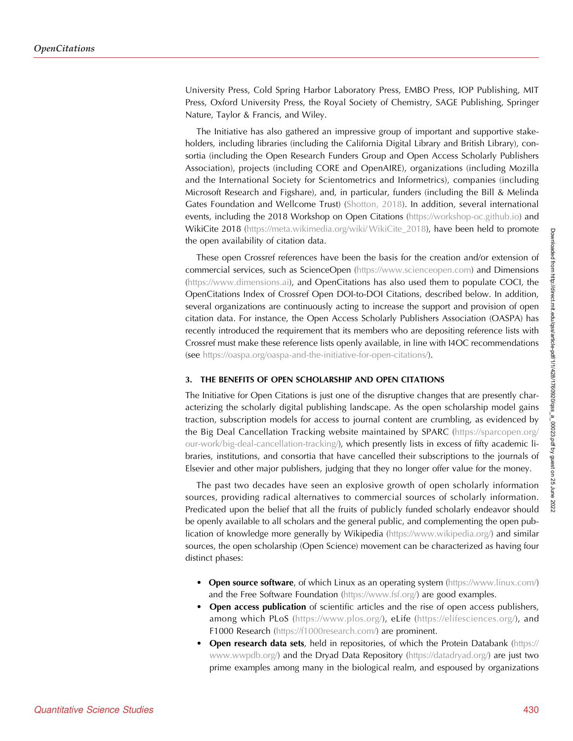University Press, Cold Spring Harbor Laboratory Press, EMBO Press, IOP Publishing, MIT Press, Oxford University Press, the Royal Society of Chemistry, SAGE Publishing, Springer Nature, Taylor & Francis, and Wiley.

The Initiative has also gathered an impressive group of important and supportive stakeholders, including libraries (including the California Digital Library and British Library), consortia (including the Open Research Funders Group and Open Access Scholarly Publishers Association), projects (including CORE and OpenAIRE), organizations (including Mozilla and the International Society for Scientometrics and Informetrics), companies (including Microsoft Research and Figshare), and, in particular, funders (including the Bill & Melinda Gates Foundation and Wellcome Trust) ([Shotton, 2018\)](#page-16-0). In addition, several international events, including the 2018 Workshop on Open Citations ([https://workshop-oc.github.io](https://oaspa.org/oaspa-and-the-initiative-for-open-citations/)) and WikiCite 2018 (https://meta.wikimedia.org/wiki/WikiCite 2018), have been held to promote the open availability of citation data.

These open Crossref references have been the basis for the creation and/or extension of commercial services, such as ScienceOpen [\(https://www.scienceopen.com\)](https://oaspa.org/oaspa-and-the-initiative-for-open-citations/) and Dimensions ([https://www.dimensions.ai](https://oaspa.org/oaspa-and-the-initiative-for-open-citations/)), and OpenCitations has also used them to populate COCI, the OpenCitations Index of Crossref Open DOI-to-DOI Citations, described below. In addition, several organizations are continuously acting to increase the support and provision of open citation data. For instance, the Open Access Scholarly Publishers Association (OASPA) has recently introduced the requirement that its members who are depositing reference lists with Crossref must make these reference lists openly available, in line with I4OC recommendations (see [https://oaspa.org/oaspa-and-the-initiative-for-open-citations/\)](https://oaspa.org/oaspa-and-the-initiative-for-open-citations/).

## 3. THE BENEFITS OF OPEN SCHOLARSHIP AND OPEN CITATIONS

The Initiative for Open Citations is just one of the disruptive changes that are presently characterizing the scholarly digital publishing landscape. As the open scholarship model gains traction, subscription models for access to journal content are crumbling, as evidenced by the Big Deal Cancellation Tracking website maintained by SPARC ([https://sparcopen.org/](https://sparcopen.org/our-work/big-deal-cancellation-tracking/) [our-work/big-deal-cancellation-tracking/\)](https://sparcopen.org/our-work/big-deal-cancellation-tracking/), which presently lists in excess of fifty academic libraries, institutions, and consortia that have cancelled their subscriptions to the journals of Elsevier and other major publishers, judging that they no longer offer value for the money.

The past two decades have seen an explosive growth of open scholarly information sources, providing radical alternatives to commercial sources of scholarly information. Predicated upon the belief that all the fruits of publicly funded scholarly endeavor should be openly available to all scholars and the general public, and complementing the open publication of knowledge more generally by Wikipedia ([https://www.wikipedia.org/\)](https://www.wikipedia.org/) and similar sources, the open scholarship (Open Science) movement can be characterized as having four distinct phases:

- Open source software, of which Linux as an operating system ([https://www.linux.com/](https://en.wikipedia.org/wiki/Uniform_Resource_Identifier)) and the Free Software Foundation [\(https://www.fsf.org/](https://w3id.org/oc/ontology)) are good examples.
- **Open access publication** of scientific articles and the rise of open access publishers, among which PLoS [\(https://www.plos.org/\)](https://w3id.org/oc/ontology), eLife ([https://elifesciences.org/\)](https://w3id.org/oc/ontology), and F1000 Research [\(https://f1000research.com/](https://w3id.org/oc/ontology)) are prominent.
- Open research data sets, held in repositories, of which the Protein Databank [\(https://](https://w3id.org/oc/ontology) [www.wwpdb.org/\)](https://w3id.org/oc/ontology) and the Dryad Data Repository ([https://datadryad.org/\)](https://w3id.org/oc/ontology) are just two prime examples among many in the biological realm, and espoused by organizations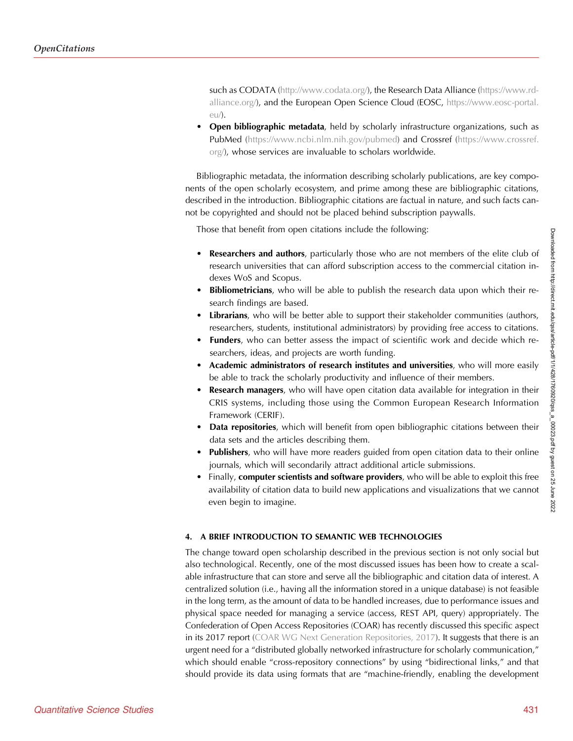such as CODATA ([http://www.codata.org/\)](https://w3id.org/oc/ontology), the Research Data Alliance [\(https://www.rd](https://w3id.org/oc/ontology)[alliance.org/\)](https://w3id.org/oc/ontology), and the European Open Science Cloud (EOSC, [https://www.eosc-portal.](https://w3id.org/oc/ontology) [eu/](https://w3id.org/oc/ontology)).

• Open bibliographic metadata, held by scholarly infrastructure organizations, such as PubMed ([https://www.ncbi.nlm.nih.gov/pubmed\)](https://w3id.org/oc/ontology) and Crossref [\(https://www.crossref.](https://w3id.org/oc/ontology) [org/\)](https://w3id.org/oc/ontology), whose services are invaluable to scholars worldwide.

Bibliographic metadata, the information describing scholarly publications, are key components of the open scholarly ecosystem, and prime among these are bibliographic citations, described in the introduction. Bibliographic citations are factual in nature, and such facts cannot be copyrighted and should not be placed behind subscription paywalls.

Those that benefit from open citations include the following:

- **Researchers and authors**, particularly those who are not members of the elite club of research universities that can afford subscription access to the commercial citation indexes WoS and Scopus.
- **Bibliometricians**, who will be able to publish the research data upon which their research findings are based.
- **Librarians**, who will be better able to support their stakeholder communities (authors, researchers, students, institutional administrators) by providing free access to citations.
- Funders, who can better assess the impact of scientific work and decide which researchers, ideas, and projects are worth funding.
- Academic administrators of research institutes and universities, who will more easily be able to track the scholarly productivity and influence of their members.
- **Research managers**, who will have open citation data available for integration in their CRIS systems, including those using the Common European Research Information Framework (CERIF).
- Data repositories, which will benefit from open bibliographic citations between their data sets and the articles describing them.
- Publishers, who will have more readers guided from open citation data to their online journals, which will secondarily attract additional article submissions.
- Finally, computer scientists and software providers, who will be able to exploit this free availability of citation data to build new applications and visualizations that we cannot even begin to imagine.

# 4. A BRIEF INTRODUCTION TO SEMANTIC WEB TECHNOLOGIES

The change toward open scholarship described in the previous section is not only social but also technological. Recently, one of the most discussed issues has been how to create a scalable infrastructure that can store and serve all the bibliographic and citation data of interest. A centralized solution (i.e., having all the information stored in a unique database) is not feasible in the long term, as the amount of data to be handled increases, due to performance issues and physical space needed for managing a service (access, REST API, query) appropriately. The Confederation of Open Access Repositories (COAR) has recently discussed this specific aspect in its 2017 report [\(COAR WG Next Generation Repositories, 2017\)](#page-15-0). It suggests that there is an urgent need for a "distributed globally networked infrastructure for scholarly communication," which should enable "cross-repository connections" by using "bidirectional links," and that should provide its data using formats that are "machine-friendly, enabling the development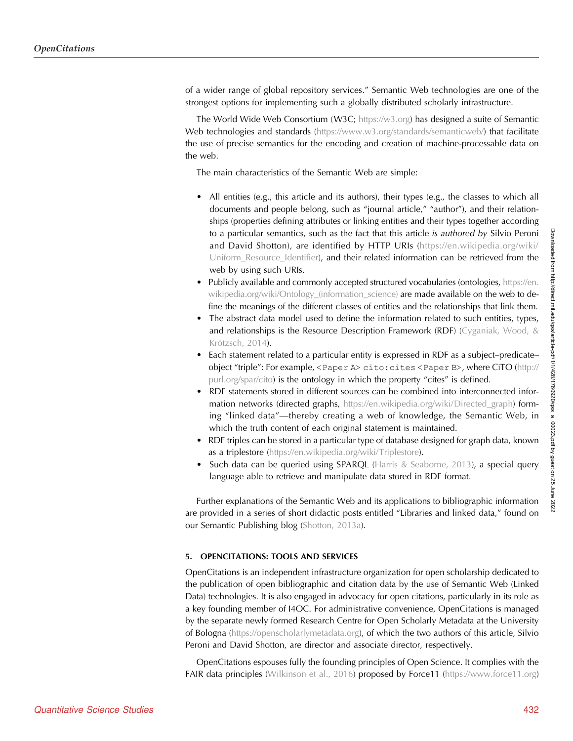of a wider range of global repository services." Semantic Web technologies are one of the strongest options for implementing such a globally distributed scholarly infrastructure.

The World Wide Web Consortium (W3C; <https://w3.org>) has designed a suite of Semantic Web technologies and standards [\(https://www.w3.org/standards/semanticweb/](https://www.w3.org/standards/semanticweb/)) that facilitate the use of precise semantics for the encoding and creation of machine-processable data on the web.

The main characteristics of the Semantic Web are simple:

- All entities (e.g., this article and its authors), their types (e.g., the classes to which all documents and people belong, such as "journal article," "author"), and their relationships (properties defining attributes or linking entities and their types together according to a particular semantics, such as the fact that this article is authored by Silvio Peroni and David Shotton), are identified by HTTP URIs ([https://en.wikipedia.org/wiki/](https://en.wikipedia.org/wiki/Uniform_Resource_Identifier) [Uniform\\_Resource\\_Identifier](https://en.wikipedia.org/wiki/Uniform_Resource_Identifier)), and their related information can be retrieved from the web by using such URIs.
- Publicly available and commonly accepted structured vocabularies (ontologies, [https://en.](https://w3id.org/oc/ontology) [wikipedia.org/wiki/Ontology\\_\(information\\_science\)](https://w3id.org/oc/ontology) are made available on the web to define the meanings of the different classes of entities and the relationships that link them.
- The abstract data model used to define the information related to such entities, types, and relationships is the Resource Description Framework (RDF) ([Cyganiak, Wood, &](#page-15-0) [Krötzsch, 2014](#page-15-0)).
- Each statement related to a particular entity is expressed in RDF as a subject–predicate– object "triple": For example, <Paper A> cito:cites <Paper B>, where CiTO ([http://](https://w3id.org/oc/ontology) [purl.org/spar/cito\)](https://w3id.org/oc/ontology) is the ontology in which the property "cites" is defined.
- RDF statements stored in different sources can be combined into interconnected information networks (directed graphs, [https://en.wikipedia.org/wiki/Directed\\_graph](https://w3id.org/oc/ontology)) forming "linked data"—thereby creating a web of knowledge, the Semantic Web, in which the truth content of each original statement is maintained.
- RDF triples can be stored in a particular type of database designed for graph data, known as a triplestore ([https://en.wikipedia.org/wiki/Triplestore\)](https://w3id.org/oc/ontology).
- Such data can be queried using SPARQL ([Harris & Seaborne, 2013\)](#page-15-0), a special query language able to retrieve and manipulate data stored in RDF format.

Further explanations of the Semantic Web and its applications to bibliographic information are provided in a series of short didactic posts entitled "Libraries and linked data," found on our Semantic Publishing blog ([Shotton, 2013a\)](#page-16-0).

# 5. OPENCITATIONS: TOOLS AND SERVICES

OpenCitations is an independent infrastructure organization for open scholarship dedicated to the publication of open bibliographic and citation data by the use of Semantic Web (Linked Data) technologies. It is also engaged in advocacy for open citations, particularly in its role as a key founding member of I4OC. For administrative convenience, OpenCitations is managed by the separate newly formed Research Centre for Open Scholarly Metadata at the University of Bologna [\(https://openscholarlymetadata.org\)](https://openscholarlymetadata.org), of which the two authors of this article, Silvio Peroni and David Shotton, are director and associate director, respectively.

OpenCitations espouses fully the founding principles of Open Science. It complies with the FAIR data principles [\(Wilkinson et al., 2016](#page-16-0)) proposed by Force11 (<https://www.force11.org>)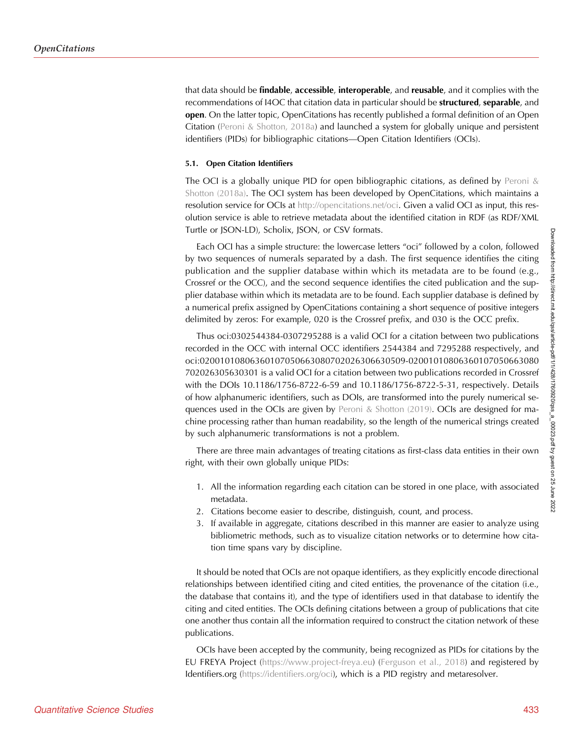that data should be **findable, accessible, interoperable**, and **reusable**, and it complies with the recommendations of I4OC that citation data in particular should be **structured**, separable, and open. On the latter topic, OpenCitations has recently published a formal definition of an Open Citation [\(Peroni & Shotton, 2018a](#page-16-0)) and launched a system for globally unique and persistent identifiers (PIDs) for bibliographic citations—Open Citation Identifiers (OCIs).

### 5.1. Open Citation Identifiers

The OCI is a globally unique PID for open bibliographic citations, as defined by Peroni  $&$ [Shotton \(2018a\).](#page-16-0) The OCI system has been developed by OpenCitations, which maintains a resolution service for OCIs at [http://opencitations.net/oci.](https://identifiers.org/oci) Given a valid OCI as input, this resolution service is able to retrieve metadata about the identified citation in RDF (as RDF/XML Turtle or JSON-LD), Scholix, JSON, or CSV formats.

Each OCI has a simple structure: the lowercase letters "oci" followed by a colon, followed by two sequences of numerals separated by a dash. The first sequence identifies the citing publication and the supplier database within which its metadata are to be found (e.g., Crossref or the OCC), and the second sequence identifies the cited publication and the supplier database within which its metadata are to be found. Each supplier database is defined by a numerical prefix assigned by OpenCitations containing a short sequence of positive integers delimited by zeros: For example, 020 is the Crossref prefix, and 030 is the OCC prefix.

Thus oci:0302544384-0307295288 is a valid OCI for a citation between two publications recorded in the OCC with internal OCC identifiers 2544384 and 7295288 respectively, and oci:02001010806360107050663080702026306630509-02001010806360107050663080 702026305630301 is a valid OCI for a citation between two publications recorded in Crossref with the DOIs 10.1186/1756-8722-6-59 and 10.1186/1756-8722-5-31, respectively. Details of how alphanumeric identifiers, such as DOIs, are transformed into the purely numerical sequences used in the OCIs are given by [Peroni & Shotton \(2019\).](#page-16-0) OCIs are designed for machine processing rather than human readability, so the length of the numerical strings created by such alphanumeric transformations is not a problem.

There are three main advantages of treating citations as first-class data entities in their own right, with their own globally unique PIDs:

- 1. All the information regarding each citation can be stored in one place, with associated metadata.
- 2. Citations become easier to describe, distinguish, count, and process.
- 3. If available in aggregate, citations described in this manner are easier to analyze using bibliometric methods, such as to visualize citation networks or to determine how citation time spans vary by discipline.

It should be noted that OCIs are not opaque identifiers, as they explicitly encode directional relationships between identified citing and cited entities, the provenance of the citation (i.e., the database that contains it), and the type of identifiers used in that database to identify the citing and cited entities. The OCIs defining citations between a group of publications that cite one another thus contain all the information required to construct the citation network of these publications.

OCIs have been accepted by the community, being recognized as PIDs for citations by the EU FREYA Project [\(https://www.project-freya.eu](https://identifiers.org/oci)) ([Ferguson et al., 2018\)](#page-15-0) and registered by Identifiers.org ([https://identifiers.org/oci\)](https://identifiers.org/oci), which is a PID registry and metaresolver.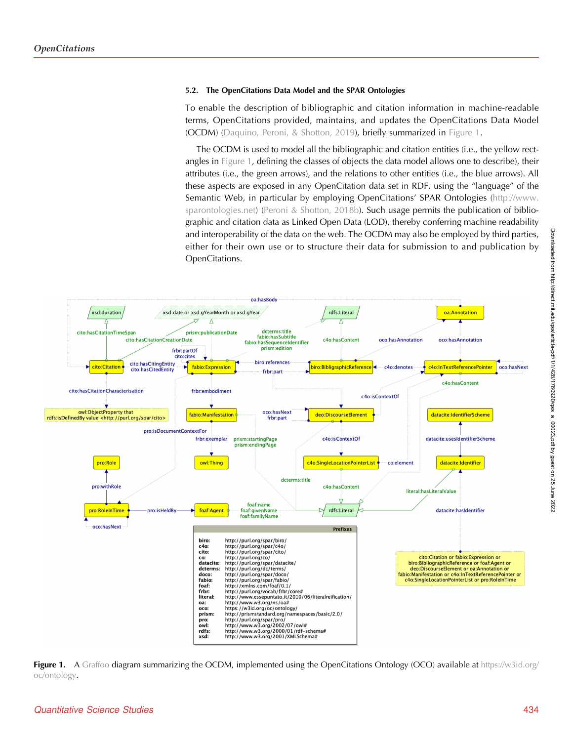# <span id="page-6-0"></span>5.2. The OpenCitations Data Model and the SPAR Ontologies

To enable the description of bibliographic and citation information in machine-readable terms, OpenCitations provided, maintains, and updates the OpenCitations Data Model (OCDM) ([Daquino, Peroni, & Shotton, 2019](#page-15-0)), briefly summarized in Figure 1.

The OCDM is used to model all the bibliographic and citation entities (i.e., the yellow rectangles in Figure 1, defining the classes of objects the data model allows one to describe), their attributes (i.e., the green arrows), and the relations to other entities (i.e., the blue arrows). All these aspects are exposed in any OpenCitation data set in RDF, using the "language" of the Semantic Web, in particular by employing OpenCitations' SPAR Ontologies ([http://www.](http://www.sparontologies.net) [sparontologies.net](http://www.sparontologies.net)) ([Peroni & Shotton, 2018b\)](#page-16-0). Such usage permits the publication of bibliographic and citation data as Linked Open Data (LOD), thereby conferring machine readability and interoperability of the data on the web. The OCDM may also be employed by third parties, either for their own use or to structure their data for submission to and publication by OpenCitations.



Figure 1. A [Graffoo](https://w3id.org/oc/ontology) diagram summarizing the OCDM, implemented using the OpenCitations Ontology (OCO) available at [https://w3id.org/](https://w3id.org/oc/ontology) [oc/ontology.](https://w3id.org/oc/ontology)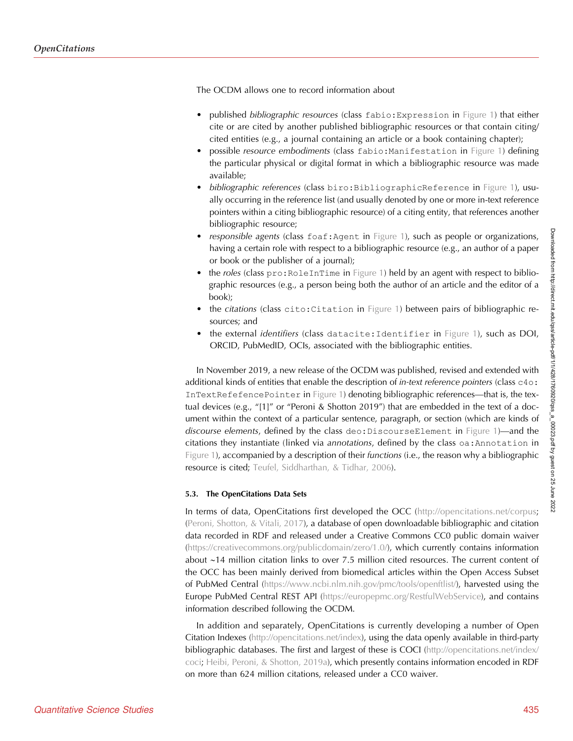The OCDM allows one to record information about

- published bibliographic resources (class fabio:Expression in [Figure 1\)](#page-6-0) that either cite or are cited by another published bibliographic resources or that contain citing/ cited entities (e.g., a journal containing an article or a book containing chapter);
- possible resource embodiments (class fabio: Manifestation in [Figure 1](#page-6-0)) defining the particular physical or digital format in which a bibliographic resource was made available;
- bibliographic references (class biro:BibliographicReference in [Figure 1](#page-6-0)), usually occurring in the reference list (and usually denoted by one or more in-text reference pointers within a citing bibliographic resource) of a citing entity, that references another bibliographic resource;
- responsible agents (class foaf:Agent in [Figure 1](#page-6-0)), such as people or organizations, having a certain role with respect to a bibliographic resource (e.g., an author of a paper or book or the publisher of a journal);
- the roles (class pro: RoleInTime in [Figure 1](#page-6-0)) held by an agent with respect to bibliographic resources (e.g., a person being both the author of an article and the editor of a book);
- the citations (class cito: Citation in [Figure 1](#page-6-0)) between pairs of bibliographic resources; and
- the external identifiers (class datacite: Identifier in [Figure 1\)](#page-6-0), such as DOI, ORCID, PubMedID, OCIs, associated with the bibliographic entities.

In November 2019, a new release of the OCDM was published, revised and extended with additional kinds of entities that enable the description of *in-text reference pointers* (class  $c4\circ$ : InTextRefefencePointer in [Figure 1](#page-6-0)) denoting bibliographic references—that is, the textual devices (e.g., "[1]" or "Peroni & Shotton 2019") that are embedded in the text of a document within the context of a particular sentence, paragraph, or section (which are kinds of discourse elements, defined by the class deo:DiscourseElement in [Figure 1](#page-6-0))—and the citations they instantiate (linked via annotations, defined by the class  $\circ a:$ Annotation in [Figure 1\)](#page-6-0), accompanied by a description of their functions (i.e., the reason why a bibliographic resource is cited; [Teufel, Siddharthan, & Tidhar, 2006](#page-16-0)).

# 5.3. The OpenCitations Data Sets

In terms of data, OpenCitations first developed the OCC ([http://opencitations.net/corpus](https://w3id.org/oc/index/api/v1); ([Peroni, Shotton, & Vitali, 2017\)](#page-16-0), a database of open downloadable bibliographic and citation data recorded in RDF and released under a Creative Commons CC0 public domain waiver ([https://creativecommons.org/publicdomain/zero/1.0/\)](https://w3id.org/oc/index/api/v1), which currently contains information about ∼14 million citation links to over 7.5 million cited resources. The current content of the OCC has been mainly derived from biomedical articles within the Open Access Subset of PubMed Central [\(https://www.ncbi.nlm.nih.gov/pmc/tools/openftlist/\)](https://w3id.org/oc/index/api/v1), harvested using the Europe PubMed Central REST API [\(https://europepmc.org/RestfulWebService](https://w3id.org/oc/index/api/v1)), and contains information described following the OCDM.

In addition and separately, OpenCitations is currently developing a number of Open Citation Indexes ([http://opencitations.net/index](https://w3id.org/oc/index/api/v1)), using the data openly available in third-party bibliographic databases. The first and largest of these is COCI ([http://opencitations.net/index/](https://w3id.org/oc/index/api/v1) [coci](https://w3id.org/oc/index/api/v1); [Heibi, Peroni, & Shotton, 2019a](#page-15-0)), which presently contains information encoded in RDF on more than 624 million citations, released under a CC0 waiver.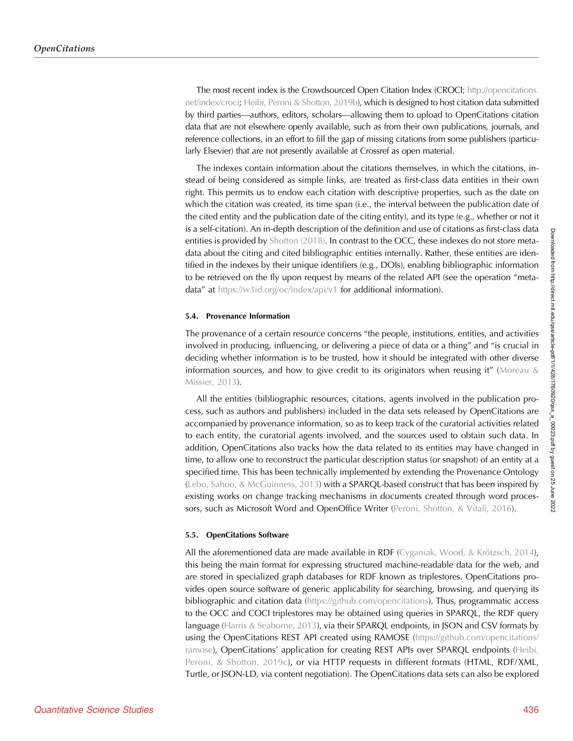The most recent index is the Crowdsourced Open Citation Index (CROCI; [http://opencitations.](https://w3id.org/oc/index/api/v1) [net/index/croci;](https://w3id.org/oc/index/api/v1) [Heibi, Peroni & Shotton, 2019b](#page-15-0)), which is designed to host citation data submitted by third parties—authors, editors, scholars—allowing them to upload to OpenCitations citation data that are not elsewhere openly available, such as from their own publications, journals, and reference collections, in an effort to fill the gap of missing citations from some publishers (particularly Elsevier) that are not presently available at Crossref as open material.

The indexes contain information about the citations themselves, in which the citations, instead of being considered as simple links, are treated as first-class data entities in their own right. This permits us to endow each citation with descriptive properties, such as the date on which the citation was created, its time span (i.e., the interval between the publication date of the cited entity and the publication date of the citing entity), and its type (e.g., whether or not it is a self-citation). An in-depth description of the definition and use of citations as first-class data entities is provided by [Shotton \(2018\)](#page-16-0). In contrast to the OCC, these indexes do not store metadata about the citing and cited bibliographic entities internally. Rather, these entities are identified in the indexes by their unique identifiers (e.g., DOIs), enabling bibliographic information to be retrieved on the fly upon request by means of the related API (see the operation "metadata" at <https://w3id.org/oc/index/api/v1> for additional information).

#### 5.4. Provenance Information

The provenance of a certain resource concerns "the people, institutions, entities, and activities involved in producing, influencing, or delivering a piece of data or a thing" and "is crucial in deciding whether information is to be trusted, how it should be integrated with other diverse information sources, and how to give credit to its originators when reusing it" ([Moreau &](#page-15-0) [Missier, 2013](#page-15-0)).

All the entities (bibliographic resources, citations, agents involved in the publication process, such as authors and publishers) included in the data sets released by OpenCitations are accompanied by provenance information, so as to keep track of the curatorial activities related to each entity, the curatorial agents involved, and the sources used to obtain such data. In addition, OpenCitations also tracks how the data related to its entities may have changed in time, to allow one to reconstruct the particular description status (or snapshot) of an entity at a specified time. This has been technically implemented by extending the Provenance Ontology ([Lebo, Sahoo, & McGuinness, 2013](#page-15-0)) with a SPARQL-based construct that has been inspired by existing works on change tracking mechanisms in documents created through word proces-sors, such as Microsoft Word and OpenOffice Writer ([Peroni, Shotton, & Vitali, 2016\)](#page-16-0).

## 5.5. OpenCitations Software

All the aforementioned data are made available in RDF ([Cyganiak, Wood, & Krötzsch, 2014\)](#page-15-0), this being the main format for expressing structured machine-readable data for the web, and are stored in specialized graph databases for RDF known as triplestores. OpenCitations provides open source software of generic applicability for searching, browsing, and querying its bibliographic and citation data [\(https://github.com/opencitations\)](http://opencitations.net/download). Thus, programmatic access to the OCC and COCI triplestores may be obtained using queries in SPARQL, the RDF query language ([Harris & Seaborne, 2013\)](#page-15-0), via their SPARQL endpoints, in JSON and CSV formats by using the OpenCitations REST API created using RAMOSE ([https://github.com/opencitations/](http://opencitations.net/download) [ramose](http://opencitations.net/download)), OpenCitations' application for creating REST APIs over SPARQL endpoints ([Heibi,](#page-15-0) [Peroni, & Shotton, 2019c\)](#page-15-0), or via HTTP requests in different formats (HTML, RDF/XML, Turtle, or JSON-LD, via content negotiation). The OpenCitations data sets can also be explored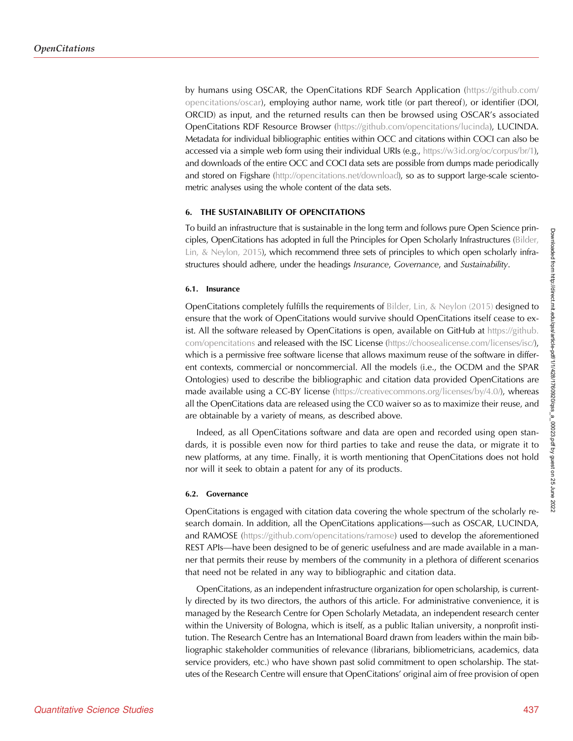by humans using OSCAR, the OpenCitations RDF Search Application ([https://github.com/](http://opencitations.net/download) [opencitations/oscar](http://opencitations.net/download)), employing author name, work title (or part thereof), or identifier (DOI, ORCID) as input, and the returned results can then be browsed using OSCAR's associated OpenCitations RDF Resource Browser ([https://github.com/opencitations/lucinda](http://opencitations.net/download)), LUCINDA. Metadata for individual bibliographic entities within OCC and citations within COCI can also be accessed via a simple web form using their individual URIs (e.g., [https://w3id.org/oc/corpus/br/1](http://opencitations.net/download)), and downloads of the entire OCC and COCI data sets are possible from dumps made periodically and stored on Figshare [\(http://opencitations.net/download\)](http://opencitations.net/download), so as to support large-scale scientometric analyses using the whole content of the data sets.

## 6. THE SUSTAINABILITY OF OPENCITATIONS

To build an infrastructure that is sustainable in the long term and follows pure Open Science principles, OpenCitations has adopted in full the Principles for Open Scholarly Infrastructures ([Bilder,](#page-15-0) [Lin, & Neylon, 2015\)](#page-15-0), which recommend three sets of principles to which open scholarly infrastructures should adhere, under the headings *Insurance*, Governance, and Sustainability.

## 6.1. Insurance

OpenCitations completely fulfills the requirements of [Bilder, Lin, & Neylon \(2015\)](#page-15-0) designed to ensure that the work of OpenCitations would survive should OpenCitations itself cease to exist. All the software released by OpenCitations is open, available on GitHub at [https://github.](https://github.com/opencitations) [com/opencitations](https://github.com/opencitations) and released with the ISC License [\(https://choosealicense.com/licenses/isc/\)](https://creativecommons.org/by/4.0/), which is a permissive free software license that allows maximum reuse of the software in different contexts, commercial or noncommercial. All the models (i.e., the OCDM and the SPAR Ontologies) used to describe the bibliographic and citation data provided OpenCitations are made available using a CC-BY license [\(https://creativecommons.org/licenses/by/4.0/\)](https://creativecommons.org/by/4.0/), whereas all the OpenCitations data are released using the CC0 waiver so as to maximize their reuse, and are obtainable by a variety of means, as described above.

Indeed, as all OpenCitations software and data are open and recorded using open standards, it is possible even now for third parties to take and reuse the data, or migrate it to new platforms, at any time. Finally, it is worth mentioning that OpenCitations does not hold nor will it seek to obtain a patent for any of its products.

## 6.2. Governance

OpenCitations is engaged with citation data covering the whole spectrum of the scholarly research domain. In addition, all the OpenCitations applications—such as OSCAR, LUCINDA, and RAMOSE [\(https://github.com/opencitations/ramose\)](https://github.com/opencitations/ramose) used to develop the aforementioned REST APIs—have been designed to be of generic usefulness and are made available in a manner that permits their reuse by members of the community in a plethora of different scenarios that need not be related in any way to bibliographic and citation data.

OpenCitations, as an independent infrastructure organization for open scholarship, is currently directed by its two directors, the authors of this article. For administrative convenience, it is managed by the Research Centre for Open Scholarly Metadata, an independent research center within the University of Bologna, which is itself, as a public Italian university, a nonprofit institution. The Research Centre has an International Board drawn from leaders within the main bibliographic stakeholder communities of relevance (librarians, bibliometricians, academics, data service providers, etc.) who have shown past solid commitment to open scholarship. The statutes of the Research Centre will ensure that OpenCitations' original aim of free provision of open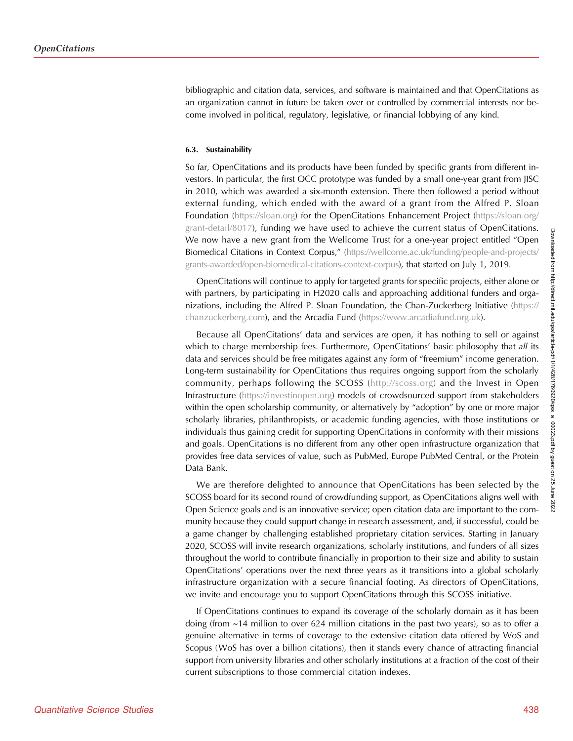bibliographic and citation data, services, and software is maintained and that OpenCitations as an organization cannot in future be taken over or controlled by commercial interests nor become involved in political, regulatory, legislative, or financial lobbying of any kind.

#### 6.3. Sustainability

So far, OpenCitations and its products have been funded by specific grants from different investors. In particular, the first OCC prototype was funded by a small one-year grant from JISC in 2010, which was awarded a six-month extension. There then followed a period without external funding, which ended with the award of a grant from the Alfred P. Sloan Foundation (<https://sloan.org>) for the OpenCitations Enhancement Project ([https://sloan.org/](https://investinopen.org) [grant-detail/8017\)](https://investinopen.org), funding we have used to achieve the current status of OpenCitations. We now have a new grant from the Wellcome Trust for a one-year project entitled "Open Biomedical Citations in Context Corpus," [\(https://wellcome.ac.uk/funding/people-and-projects/](https://investinopen.org) [grants-awarded/open-biomedical-citations-context-corpus](https://investinopen.org)), that started on July 1, 2019.

OpenCitations will continue to apply for targeted grants for specific projects, either alone or with partners, by participating in H2020 calls and approaching additional funders and organizations, including the Alfred P. Sloan Foundation, the Chan-Zuckerberg Initiative ([https://](https://investinopen.org) [chanzuckerberg.com](https://investinopen.org)), and the Arcadia Fund [\(https://www.arcadiafund.org.uk\)](https://investinopen.org).

Because all OpenCitations' data and services are open, it has nothing to sell or against which to charge membership fees. Furthermore, OpenCitations' basic philosophy that all its data and services should be free mitigates against any form of "freemium" income generation. Long-term sustainability for OpenCitations thus requires ongoing support from the scholarly community, perhaps following the SCOSS ([http://scoss.org](https://investinopen.org)) and the Invest in Open Infrastructure [\(https://investinopen.org\)](https://investinopen.org) models of crowdsourced support from stakeholders within the open scholarship community, or alternatively by "adoption" by one or more major scholarly libraries, philanthropists, or academic funding agencies, with those institutions or individuals thus gaining credit for supporting OpenCitations in conformity with their missions and goals. OpenCitations is no different from any other open infrastructure organization that provides free data services of value, such as PubMed, Europe PubMed Central, or the Protein Data Bank.

We are therefore delighted to announce that OpenCitations has been selected by the SCOSS board for its second round of crowdfunding support, as OpenCitations aligns well with Open Science goals and is an innovative service; open citation data are important to the community because they could support change in research assessment, and, if successful, could be a game changer by challenging established proprietary citation services. Starting in January 2020, SCOSS will invite research organizations, scholarly institutions, and funders of all sizes throughout the world to contribute financially in proportion to their size and ability to sustain OpenCitations' operations over the next three years as it transitions into a global scholarly infrastructure organization with a secure financial footing. As directors of OpenCitations, we invite and encourage you to support OpenCitations through this SCOSS initiative.

If OpenCitations continues to expand its coverage of the scholarly domain as it has been doing (from ∼14 million to over 624 million citations in the past two years), so as to offer a genuine alternative in terms of coverage to the extensive citation data offered by WoS and Scopus (WoS has over a billion citations), then it stands every chance of attracting financial support from university libraries and other scholarly institutions at a fraction of the cost of their current subscriptions to those commercial citation indexes.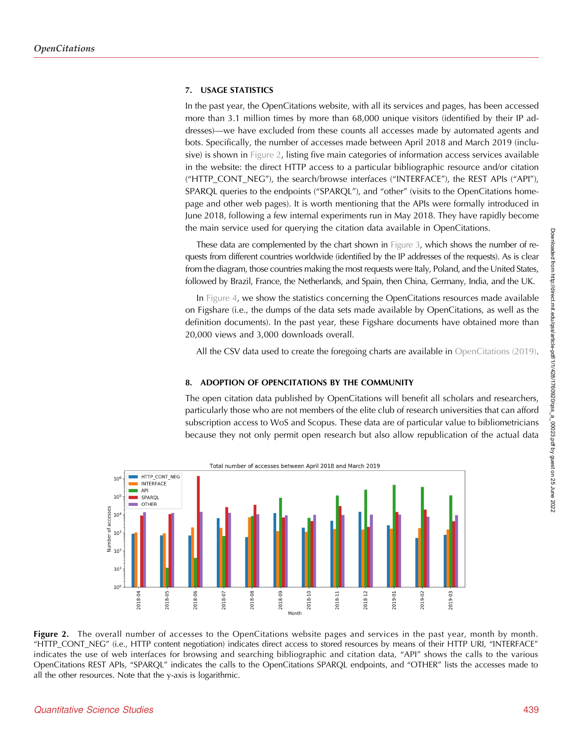# 7. USAGE STATISTICS

In the past year, the OpenCitations website, with all its services and pages, has been accessed more than 3.1 million times by more than 68,000 unique visitors (identified by their IP addresses)—we have excluded from these counts all accesses made by automated agents and bots. Specifically, the number of accesses made between April 2018 and March 2019 (inclusive) is shown in Figure 2, listing five main categories of information access services available in the website: the direct HTTP access to a particular bibliographic resource and/or citation ("HTTP\_CONT\_NEG"), the search/browse interfaces ("INTERFACE"), the REST APIs ("API"), SPARQL queries to the endpoints ("SPARQL"), and "other" (visits to the OpenCitations homepage and other web pages). It is worth mentioning that the APIs were formally introduced in June 2018, following a few internal experiments run in May 2018. They have rapidly become the main service used for querying the citation data available in OpenCitations.

These data are complemented by the chart shown in [Figure 3](#page-12-0), which shows the number of requests from different countries worldwide (identified by the IP addresses of the requests). As is clear from the diagram, those countries making the most requests were Italy, Poland, and the United States, followed by Brazil, France, the Netherlands, and Spain, then China, Germany, India, and the UK.

In [Figure 4,](#page-12-0) we show the statistics concerning the OpenCitations resources made available on Figshare (i.e., the dumps of the data sets made available by OpenCitations, as well as the definition documents). In the past year, these Figshare documents have obtained more than 20,000 views and 3,000 downloads overall.

All the CSV data used to create the foregoing charts are available in [OpenCitations \(2019\)](#page-15-0).

# 8. ADOPTION OF OPENCITATIONS BY THE COMMUNITY

The open citation data published by OpenCitations will benefit all scholars and researchers, particularly those who are not members of the elite club of research universities that can afford subscription access to WoS and Scopus. These data are of particular value to bibliometricians because they not only permit open research but also allow republication of the actual data



**Figure 2.** The overall number of accesses to the OpenCitations website pages and services in the past year, month by month. "HTTP\_CONT\_NEG" (i.e., HTTP content negotiation) indicates direct access to stored resources by means of their HTTP URI, "INTERFACE" indicates the use of web interfaces for browsing and searching bibliographic and citation data, "API" shows the calls to the various OpenCitations REST APIs, "SPARQL" indicates the calls to the OpenCitations SPARQL endpoints, and "OTHER" lists the accesses made to all the other resources. Note that the y-axis is logarithmic.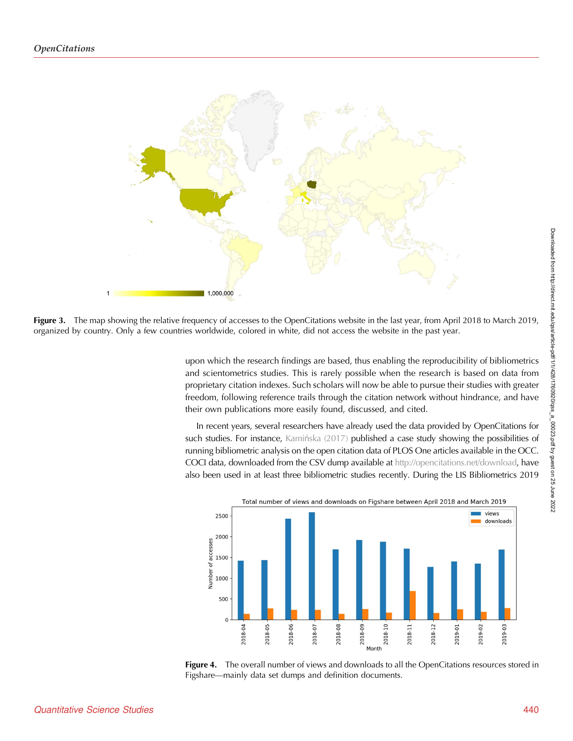<span id="page-12-0"></span>

**Figure 3.** The map showing the relative frequency of accesses to the OpenCitations website in the last year, from April 2018 to March 2019, organized by country. Only a few countries worldwide, colored in white, did not access the website in the past year.

upon which the research findings are based, thus enabling the reproducibility of bibliometrics and scientometrics studies. This is rarely possible when the research is based on data from proprietary citation indexes. Such scholars will now be able to pursue their studies with greater freedom, following reference trails through the citation network without hindrance, and have their own publications more easily found, discussed, and cited.

In recent years, several researchers have already used the data provided by OpenCitations for such studies. For instance, Kamiń[ska \(2017\)](#page-15-0) published a case study showing the possibilities of running bibliometric analysis on the open citation data of PLOS One articles available in the OCC. COCI data, downloaded from the CSV dump available at <http://opencitations.net/download>, have also been used in at least three bibliometric studies recently. During the LIS Bibliometrics 2019



Figure 4. The overall number of views and downloads to all the OpenCitations resources stored in Figshare—mainly data set dumps and definition documents.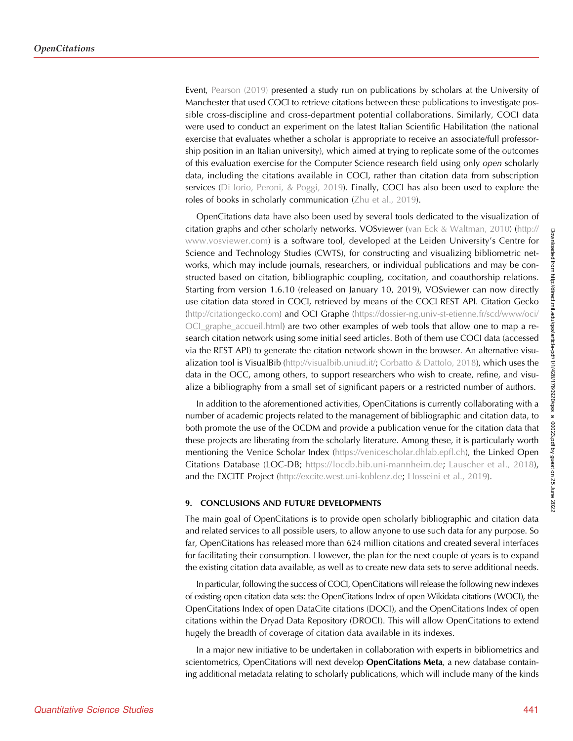Event, [Pearson \(2019\)](#page-15-0) presented a study run on publications by scholars at the University of Manchester that used COCI to retrieve citations between these publications to investigate possible cross-discipline and cross-department potential collaborations. Similarly, COCI data were used to conduct an experiment on the latest Italian Scientific Habilitation (the national exercise that evaluates whether a scholar is appropriate to receive an associate/full professorship position in an Italian university), which aimed at trying to replicate some of the outcomes of this evaluation exercise for the Computer Science research field using only open scholarly data, including the citations available in COCI, rather than citation data from subscription services [\(Di Iorio, Peroni, & Poggi, 2019\)](#page-15-0). Finally, COCI has also been used to explore the roles of books in scholarly communication ([Zhu et al., 2019\)](#page-16-0).

OpenCitations data have also been used by several tools dedicated to the visualization of citation graphs and other scholarly networks. VOSviewer [\(van Eck & Waltman, 2010\)](#page-16-0) ([http://](http://excite.west.uni-koblenz.de) [www.vosviewer.com](http://excite.west.uni-koblenz.de)) is a software tool, developed at the Leiden University's Centre for Science and Technology Studies (CWTS), for constructing and visualizing bibliometric networks, which may include journals, researchers, or individual publications and may be constructed based on citation, bibliographic coupling, cocitation, and coauthorship relations. Starting from version 1.6.10 (released on January 10, 2019), VOSviewer can now directly use citation data stored in COCI, retrieved by means of the COCI REST API. Citation Gecko ([http://citationgecko.com\)](http://excite.west.uni-koblenz.de) and OCI Graphe ([https://dossier-ng.univ-st-etienne.fr/scd/www/oci/](http://excite.west.uni-koblenz.de) OCI graphe accueil.html) are two other examples of web tools that allow one to map a research citation network using some initial seed articles. Both of them use COCI data (accessed via the REST API) to generate the citation network shown in the browser. An alternative visualization tool is VisualBib [\(http://visualbib.uniud.it/](http://excite.west.uni-koblenz.de); [Corbatto & Dattolo, 2018\)](#page-15-0), which uses the data in the OCC, among others, to support researchers who wish to create, refine, and visualize a bibliography from a small set of significant papers or a restricted number of authors.

In addition to the aforementioned activities, OpenCitations is currently collaborating with a number of academic projects related to the management of bibliographic and citation data, to both promote the use of the OCDM and provide a publication venue for the citation data that these projects are liberating from the scholarly literature. Among these, it is particularly worth mentioning the Venice Scholar Index [\(https://venicescholar.dhlab.epfl.ch](http://excite.west.uni-koblenz.de)), the Linked Open Citations Database (LOC-DB; [https://locdb.bib.uni-mannheim.de](http://excite.west.uni-koblenz.de); [Lauscher et al., 2018\)](#page-15-0), and the EXCITE Project [\(http://excite.west.uni-koblenz.de](http://excite.west.uni-koblenz.de); [Hosseini et al., 2019\)](#page-15-0).

## 9. CONCLUSIONS AND FUTURE DEVELOPMENTS

The main goal of OpenCitations is to provide open scholarly bibliographic and citation data and related services to all possible users, to allow anyone to use such data for any purpose. So far, OpenCitations has released more than 624 million citations and created several interfaces for facilitating their consumption. However, the plan for the next couple of years is to expand the existing citation data available, as well as to create new data sets to serve additional needs.

In particular, following the success of COCI, OpenCitations will release the following new indexes of existing open citation data sets: the OpenCitations Index of open Wikidata citations (WOCI), the OpenCitations Index of open DataCite citations (DOCI), and the OpenCitations Index of open citations within the Dryad Data Repository (DROCI). This will allow OpenCitations to extend hugely the breadth of coverage of citation data available in its indexes.

In a major new initiative to be undertaken in collaboration with experts in bibliometrics and scientometrics, OpenCitations will next develop **OpenCitations Meta**, a new database containing additional metadata relating to scholarly publications, which will include many of the kinds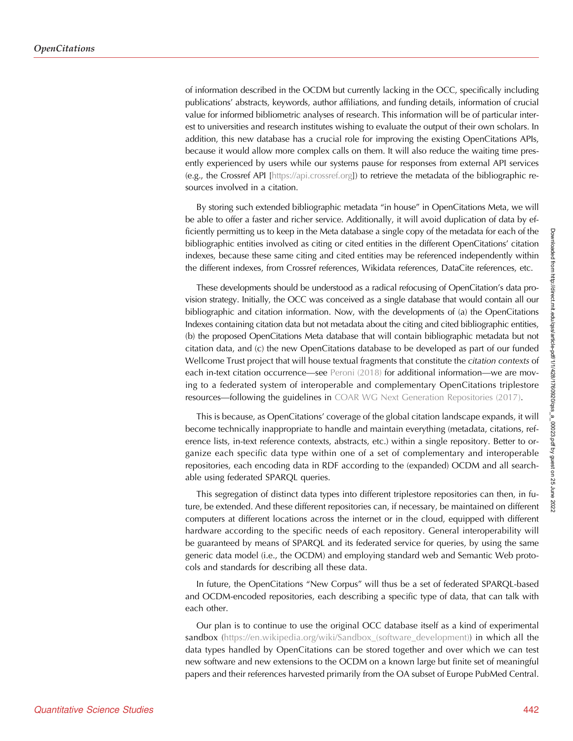of information described in the OCDM but currently lacking in the OCC, specifically including publications' abstracts, keywords, author affiliations, and funding details, information of crucial value for informed bibliometric analyses of research. This information will be of particular interest to universities and research institutes wishing to evaluate the output of their own scholars. In addition, this new database has a crucial role for improving the existing OpenCitations APIs, because it would allow more complex calls on them. It will also reduce the waiting time presently experienced by users while our systems pause for responses from external API services (e.g., the Crossref API [\[https://api.crossref.org](https://api.crossref.org)]) to retrieve the metadata of the bibliographic resources involved in a citation.

By storing such extended bibliographic metadata "in house" in OpenCitations Meta, we will be able to offer a faster and richer service. Additionally, it will avoid duplication of data by efficiently permitting us to keep in the Meta database a single copy of the metadata for each of the bibliographic entities involved as citing or cited entities in the different OpenCitations' citation indexes, because these same citing and cited entities may be referenced independently within the different indexes, from Crossref references, Wikidata references, DataCite references, etc.

These developments should be understood as a radical refocusing of OpenCitation's data provision strategy. Initially, the OCC was conceived as a single database that would contain all our bibliographic and citation information. Now, with the developments of (a) the OpenCitations Indexes containing citation data but not metadata about the citing and cited bibliographic entities, (b) the proposed OpenCitations Meta database that will contain bibliographic metadata but not citation data, and (c) the new OpenCitations database to be developed as part of our funded Wellcome Trust project that will house textual fragments that constitute the citation contexts of each in-text citation occurrence—see [Peroni \(2018\)](#page-16-0) for additional information—we are moving to a federated system of interoperable and complementary OpenCitations triplestore resources—following the guidelines in [COAR WG Next Generation Repositories \(2017\).](#page-15-0)

This is because, as OpenCitations' coverage of the global citation landscape expands, it will become technically inappropriate to handle and maintain everything (metadata, citations, reference lists, in-text reference contexts, abstracts, etc.) within a single repository. Better to organize each specific data type within one of a set of complementary and interoperable repositories, each encoding data in RDF according to the (expanded) OCDM and all searchable using federated SPARQL queries.

This segregation of distinct data types into different triplestore repositories can then, in future, be extended. And these different repositories can, if necessary, be maintained on different computers at different locations across the internet or in the cloud, equipped with different hardware according to the specific needs of each repository. General interoperability will be guaranteed by means of SPARQL and its federated service for queries, by using the same generic data model (i.e., the OCDM) and employing standard web and Semantic Web protocols and standards for describing all these data.

In future, the OpenCitations "New Corpus" will thus be a set of federated SPARQL-based and OCDM-encoded repositories, each describing a specific type of data, that can talk with each other.

Our plan is to continue to use the original OCC database itself as a kind of experimental sandbox [\(https://en.wikipedia.org/wiki/Sandbox\\_\(software\\_development\)\)](https://viaf.org) in which all the data types handled by OpenCitations can be stored together and over which we can test new software and new extensions to the OCDM on a known large but finite set of meaningful papers and their references harvested primarily from the OA subset of Europe PubMed Central.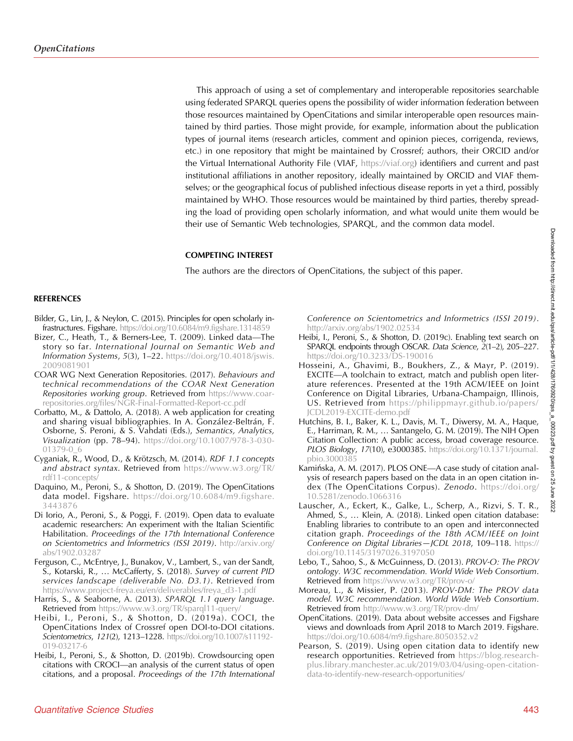<span id="page-15-0"></span>This approach of using a set of complementary and interoperable repositories searchable using federated SPARQL queries opens the possibility of wider information federation between those resources maintained by OpenCitations and similar interoperable open resources maintained by third parties. Those might provide, for example, information about the publication types of journal items (research articles, comment and opinion pieces, corrigenda, reviews, etc.) in one repository that might be maintained by Crossref; authors, their ORCID and/or the Virtual International Authority File (VIAF, [https://viaf.org\)](https://viaf.org) identifiers and current and past institutional affiliations in another repository, ideally maintained by ORCID and VIAF themselves; or the geographical focus of published infectious disease reports in yet a third, possibly maintained by WHO. Those resources would be maintained by third parties, thereby spreading the load of providing open scholarly information, and what would unite them would be their use of Semantic Web technologies, SPARQL, and the common data model.

## COMPETING INTEREST

The authors are the directors of OpenCitations, the subject of this paper.

#### **REFERENCES**

- Bilder, G., Lin, J., & Neylon, C. (2015). Principles for open scholarly infrastructures. Figshare. <https://doi.org/10.6084/m9.figshare.1314859>
- Bizer, C., Heath, T., & Berners-Lee, T. (2009). Linked data—The story so far. International Journal on Semantic Web and Information Systems, 5(3), 1–22. [https://doi.org/10.4018/jswis.](https://doi.org/10.4018/jswis.2009081901) [2009081901](https://doi.org/10.4018/jswis.2009081901)
- COAR WG Next Generation Repositories. (2017). Behaviours and technical recommendations of the COAR Next Generation Repositories working group. Retrieved from [https://www.coar](https://www.coar-repositories.org/files/NGR-Final-Formatted-Report-cc.pdf)[repositories.org/files/NGR-Final-Formatted-Report-cc.pdf](https://www.coar-repositories.org/files/NGR-Final-Formatted-Report-cc.pdf)
- Corbatto, M., & Dattolo, A. (2018). A web application for creating and sharing visual bibliographies. In A. González-Beltrán, F. Osborne, S. Peroni, & S. Vahdati (Eds.), Semantics, Analytics, Visualization (pp. 78–94). [https://doi.org/10.1007/978-3-030-](https://doi.org/10.1007/978-3-030-01379-0_6) [01379-0\\_6](https://doi.org/10.1007/978-3-030-01379-0_6)
- Cyganiak, R., Wood, D., & Krötzsch, M. (2014). RDF 1.1 concepts and abstract syntax. Retrieved from [https://www.w3.org/TR/](https://www.w3.org/TR/rdf11-concepts/) [rdf11-concepts/](https://www.w3.org/TR/rdf11-concepts/)
- Daquino, M., Peroni, S., & Shotton, D. (2019). The OpenCitations data model. Figshare. [https://doi.org/10.6084/m9.figshare.](https://doi.org/10.6084/m9.figshare.3443876) [3443876](https://doi.org/10.6084/m9.figshare.3443876)
- Di Iorio, A., Peroni, S., & Poggi, F. (2019). Open data to evaluate academic researchers: An experiment with the Italian Scientific Habilitation. Proceedings of the 17th International Conference on Scientometrics and Informetrics (ISSI 2019). [http://arxiv.org/](http://arxiv.org/abs/1902.03287) [abs/1902.03287](http://arxiv.org/abs/1902.03287)
- Ferguson, C., McEntrye, J., Bunakov, V., Lambert, S., van der Sandt, S., Kotarski, R., … McCafferty, S. (2018). Survey of current PID services landscape (deliverable No. D3.1). Retrieved from [https://www.project-freya.eu/en/deliverables/freya\\_d3-1.pdf](https://www.project-freya.eu/en/deliverables/freya_d3-1.pdf)
- Harris, S., & Seaborne, A. (2013). SPARQL 1.1 query language. Retrieved from <https://www.w3.org/TR/sparql11-query/>
- Heibi, I., Peroni, S., & Shotton, D. (2019a). COCI, the OpenCitations Index of Crossref open DOI-to-DOI citations. Scientometrics, 121(2), 1213–1228. [https://doi.org/10.1007/s11192-](https://doi.org/10.1007/s11192-019-03217-6) [019-03217-6](https://doi.org/10.1007/s11192-019-03217-6)
- Heibi, I., Peroni, S., & Shotton, D. (2019b). Crowdsourcing open citations with CROCI—an analysis of the current status of open citations, and a proposal. Proceedings of the 17th International

Conference on Scientometrics and Informetrics (ISSI 2019). <http://arxiv.org/abs/1902.02534>

- Heibi, I., Peroni, S., & Shotton, D. (2019c). Enabling text search on SPARQL endpoints through OSCAR. Data Science, 2(1-2), 205-227. <https://doi.org/10.3233/DS-190016>
- Hosseini, A., Ghavimi, B., Boukhers, Z., & Mayr, P. (2019). EXCITE—A toolchain to extract, match and publish open literature references. Presented at the 19th ACM/IEEE on Joint Conference on Digital Libraries, Urbana-Champaign, Illinois, US. Retrieved from [https://philippmayr.github.io/papers/](https://philippmayr.github.io/papers/JCDL2019-EXCITE-demo.pdf) [JCDL2019-EXCITE-demo.pdf](https://philippmayr.github.io/papers/JCDL2019-EXCITE-demo.pdf)
- Hutchins, B. I., Baker, K. L., Davis, M. T., Diwersy, M. A., Haque, E., Harriman, R. M., … Santangelo, G. M. (2019). The NIH Open Citation Collection: A public access, broad coverage resource. PLOS Biology, 17(10), e3000385. [https://doi.org/10.1371/journal.](https://doi.org/10.1371/journal.pbio.3000385) [pbio.3000385](https://doi.org/10.1371/journal.pbio.3000385)
- Kamińska, A. M. (2017). PLOS ONE—A case study of citation analysis of research papers based on the data in an open citation index (The OpenCitations Corpus). Zenodo. [https://doi.org/](https://doi.org/10.5281/zenodo.1066316) [10.5281/zenodo.1066316](https://doi.org/10.5281/zenodo.1066316)
- Lauscher, A., Eckert, K., Galke, L., Scherp, A., Rizvi, S. T. R., Ahmed, S., … Klein, A. (2018). Linked open citation database: Enabling libraries to contribute to an open and interconnected citation graph. Proceedings of the 18th ACM/IEEE on Joint Conference on Digital Libraries—JCDL 2018, 109–118. [https://](https://doi.org/10.1145/3197026.3197050) [doi.org/10.1145/3197026.3197050](https://doi.org/10.1145/3197026.3197050)
- Lebo, T., Sahoo, S., & McGuinness, D. (2013). PROV-O: The PROV ontology. W3C recommendation. World Wide Web Consortium. Retrieved from <https://www.w3.org/TR/prov-o/>
- Moreau, L., & Missier, P. (2013). PROV-DM: The PROV data model. W3C recommendation. World Wide Web Consortium. Retrieved from <http://www.w3.org/TR/prov-dm/>
- OpenCitations. (2019). Data about website accesses and Figshare views and downloads from April 2018 to March 2019. Figshare. <https://doi.org/10.6084/m9.figshare.8050352.v2>
- Pearson, S. (2019). Using open citation data to identify new research opportunities. Retrieved from [https://blog.research](https://blog.research-plus.library.manchester.ac.uk/2019/03/04/using-open-citation-data-to-identify-new-research-opportunities/)[plus.library.manchester.ac.uk/2019/03/04/using-open-citation](https://blog.research-plus.library.manchester.ac.uk/2019/03/04/using-open-citation-data-to-identify-new-research-opportunities/)[data-to-identify-new-research-opportunities/](https://blog.research-plus.library.manchester.ac.uk/2019/03/04/using-open-citation-data-to-identify-new-research-opportunities/)